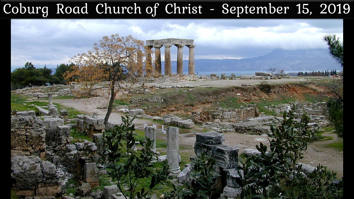## Coburg Road Church of Christ - September 15, 2019

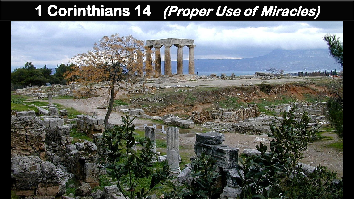## **1 Corinthians 14 (Proper Use of Miracles)**

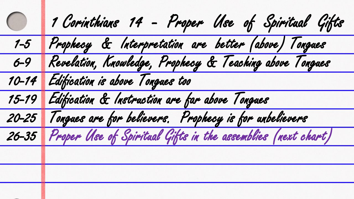| $\bigcirc$ | 1 Corinthians 14 - Proper Use of Spiritual Gifts                   |
|------------|--------------------------------------------------------------------|
|            | 1-5 Prophecy & Interpretation are better (above) Tongues           |
| $6 - 9$    | Revelation, Knowledge, Prophecy & Teaching above Tongues           |
|            | 10-14 Edification is above Tongues too                             |
|            | 15-19 Edification & Instruction are far above Tongues              |
| $20 - 25$  | Tongues are for believers. Prophecy is for unbelievers             |
|            | 26-35 Proper Use of Spiritual Gifts in the assemblies (next chart) |
|            |                                                                    |
|            |                                                                    |
|            |                                                                    |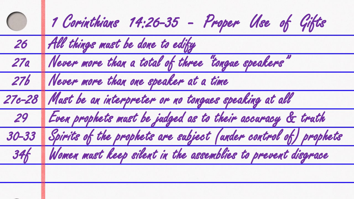| $\bigcirc$ | 1 Corinthians 14:26-35 - Proper Use of Gifts                          |
|------------|-----------------------------------------------------------------------|
| 26         | All things must be done to edify                                      |
| 27a        | Never more than a total of three "tongue speakers"                    |
| 27b        | Never more than one speaker at a time                                 |
|            | 27c-28 Must be an interpreter or no tongues speaking at all           |
| 29         | Even prophets must be judged as to their accuracy & truth             |
|            | 30-33 Spirits of the prophets are subject (ander control of) prophets |
| 346        | Women must keep silent in the assemblies to prevent disgrace          |
|            |                                                                       |
|            |                                                                       |